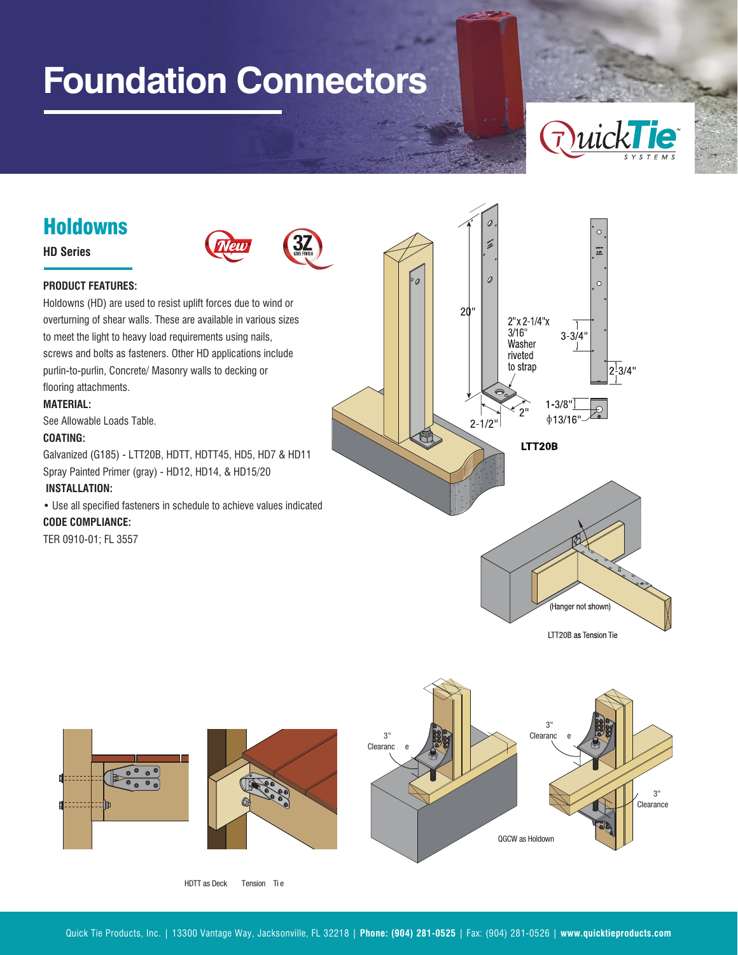# **Foundation Connectors**



# Holdowns

# **HD Series**



### **PRODUCT FEATURES:**

Holdowns (HD) are used to resist uplift forces due to wind or overturning of shear walls. These are available in various sizes to meet the light to heavy load requirements using nails, screws and bolts as fasteners. Other HD applications include purlin-to-purlin, Concrete/ Masonry walls to decking or flooring attachments.

#### **MATERIAL:**

See Allowable Loads Table.

#### **COATING:**

Galvanized (G185) - LTT20B, HDTT, HDTT45, HD5, HD7 & HD11 Spray Painted Primer (gray) - HD12, HD14, & HD15/20

#### **INSTALLATION:**

• Use all specified fasteners in schedule to achieve values indicated

#### **CODE COMPLIANCE:**

TER 0910-01; FL 3557





HDTT as Deck Tension Ti e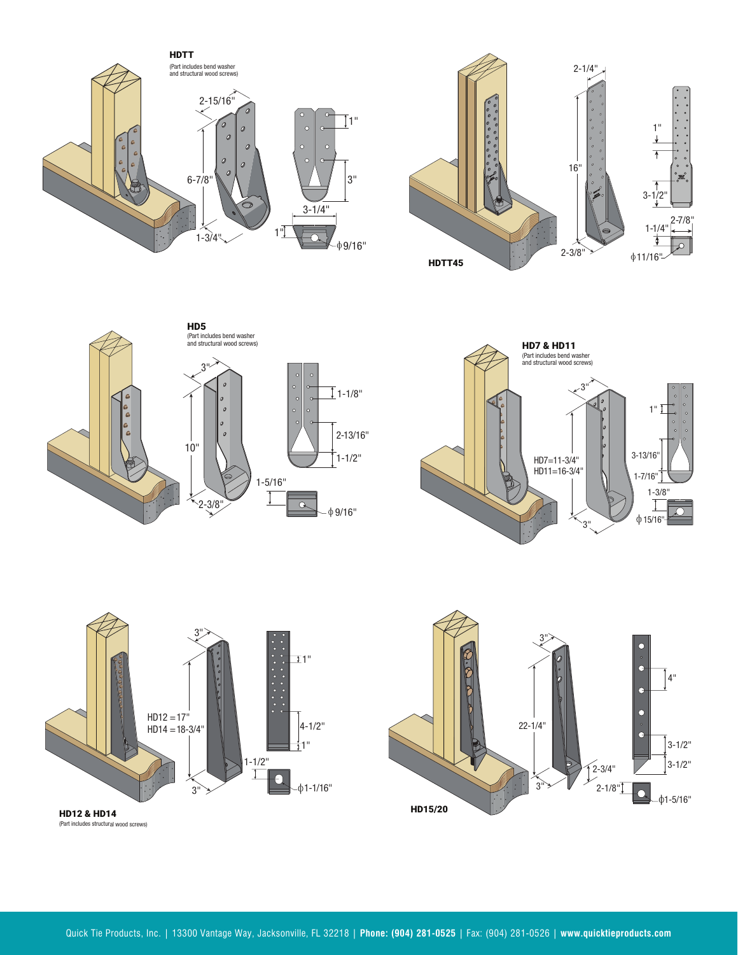











(Part includes structural wood screws)